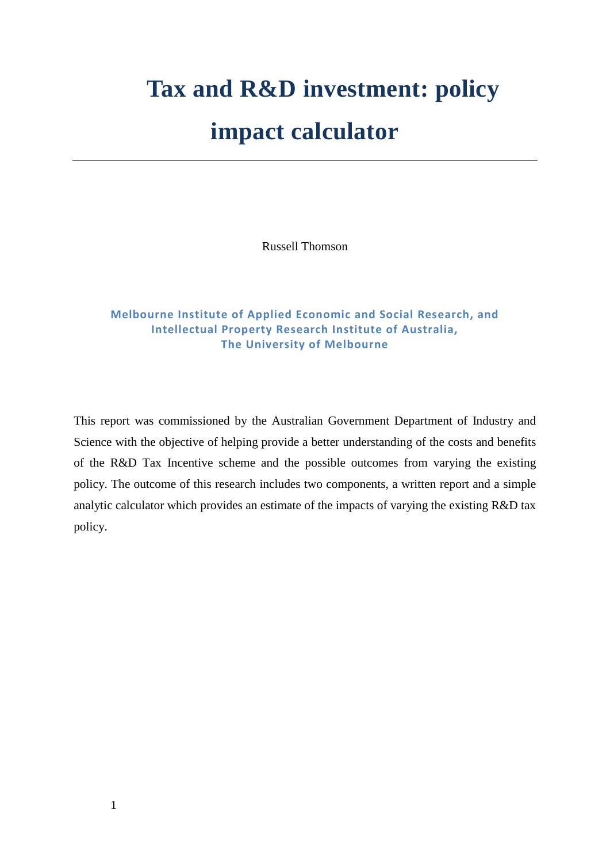# **Tax and R&D investment: policy**

# **impact calculator**

Russell Thomson

# **Melbourne Institute of Applied Economic and Social Research, and Intellectual Property Research Institute of Australia, The University of Melbourne**

This report was commissioned by the Australian Government Department of Industry and Science with the objective of helping provide a better understanding of the costs and benefits of the R&D Tax Incentive scheme and the possible outcomes from varying the existing policy. The outcome of this research includes two components, a written report and a simple analytic calculator which provides an estimate of the impacts of varying the existing R&D tax policy.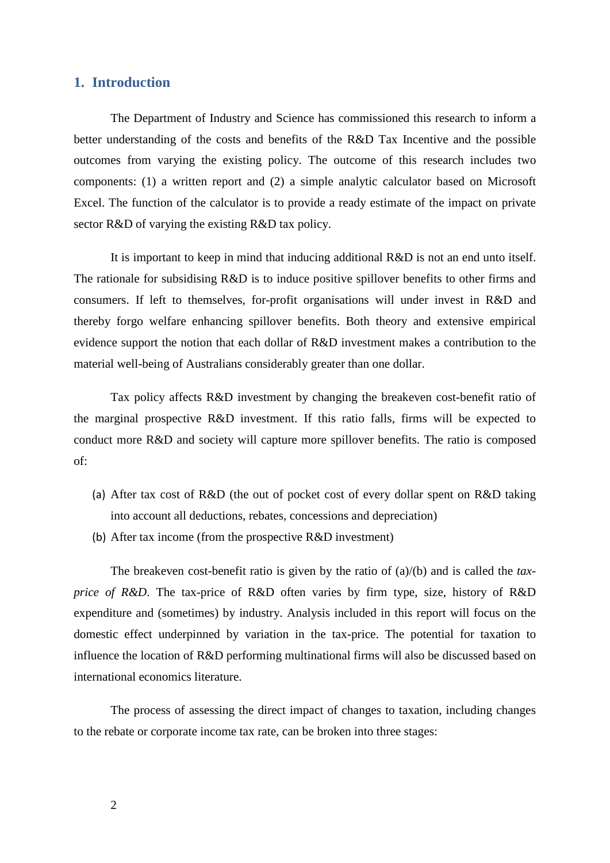#### **1. Introduction**

The Department of Industry and Science has commissioned this research to inform a better understanding of the costs and benefits of the R&D Tax Incentive and the possible outcomes from varying the existing policy. The outcome of this research includes two components: (1) a written report and (2) a simple analytic calculator based on Microsoft Excel. The function of the calculator is to provide a ready estimate of the impact on private sector R&D of varying the existing R&D tax policy.

It is important to keep in mind that inducing additional R&D is not an end unto itself. The rationale for subsidising R&D is to induce positive spillover benefits to other firms and consumers. If left to themselves, for-profit organisations will under invest in R&D and thereby forgo welfare enhancing spillover benefits. Both theory and extensive empirical evidence support the notion that each dollar of R&D investment makes a contribution to the material well-being of Australians considerably greater than one dollar.

Tax policy affects R&D investment by changing the breakeven cost-benefit ratio of the marginal prospective R&D investment. If this ratio falls, firms will be expected to conduct more R&D and society will capture more spillover benefits. The ratio is composed of:

- (a) After tax cost of R&D (the out of pocket cost of every dollar spent on R&D taking into account all deductions, rebates, concessions and depreciation)
- (b) After tax income (from the prospective R&D investment)

The breakeven cost-benefit ratio is given by the ratio of (a)/(b) and is called the *taxprice of R&D*. The tax-price of R&D often varies by firm type, size, history of R&D expenditure and (sometimes) by industry. Analysis included in this report will focus on the domestic effect underpinned by variation in the tax-price. The potential for taxation to influence the location of R&D performing multinational firms will also be discussed based on international economics literature.

The process of assessing the direct impact of changes to taxation, including changes to the rebate or corporate income tax rate, can be broken into three stages: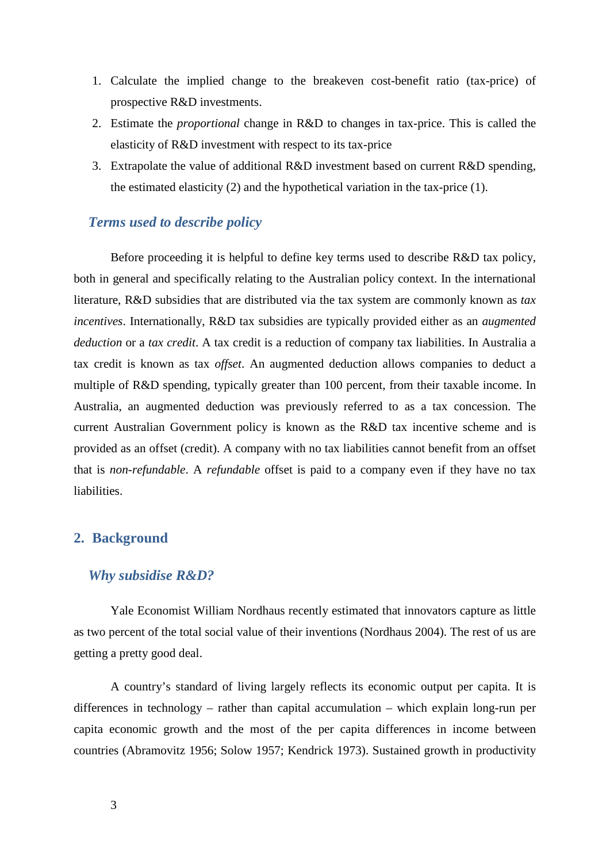- 1. Calculate the implied change to the breakeven cost-benefit ratio (tax-price) of prospective R&D investments.
- 2. Estimate the *proportional* change in R&D to changes in tax-price. This is called the elasticity of R&D investment with respect to its tax-price
- 3. Extrapolate the value of additional R&D investment based on current R&D spending, the estimated elasticity (2) and the hypothetical variation in the tax-price (1).

# *Terms used to describe policy*

Before proceeding it is helpful to define key terms used to describe R&D tax policy, both in general and specifically relating to the Australian policy context. In the international literature, R&D subsidies that are distributed via the tax system are commonly known as *tax incentives*. Internationally, R&D tax subsidies are typically provided either as an *augmented deduction* or a *tax credit*. A tax credit is a reduction of company tax liabilities. In Australia a tax credit is known as tax *offset*. An augmented deduction allows companies to deduct a multiple of R&D spending, typically greater than 100 percent, from their taxable income. In Australia, an augmented deduction was previously referred to as a tax concession. The current Australian Government policy is known as the R&D tax incentive scheme and is provided as an offset (credit). A company with no tax liabilities cannot benefit from an offset that is *non-refundable*. A *refundable* offset is paid to a company even if they have no tax liabilities.

#### **2. Background**

#### *Why subsidise R&D?*

Yale Economist William Nordhaus recently estimated that innovators capture as little as two percent of the total social value of their inventions (Nordhaus 2004). The rest of us are getting a pretty good deal.

A country's standard of living largely reflects its economic output per capita. It is differences in technology – rather than capital accumulation – which explain long-run per capita economic growth and the most of the per capita differences in income between countries (Abramovitz 1956; Solow 1957; Kendrick 1973). Sustained growth in productivity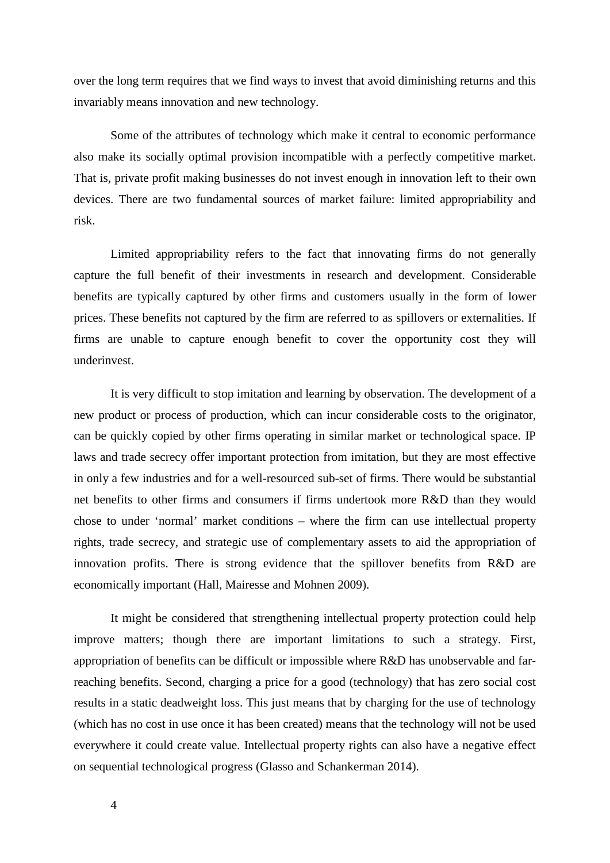over the long term requires that we find ways to invest that avoid diminishing returns and this invariably means innovation and new technology.

Some of the attributes of technology which make it central to economic performance also make its socially optimal provision incompatible with a perfectly competitive market. That is, private profit making businesses do not invest enough in innovation left to their own devices. There are two fundamental sources of market failure: limited appropriability and risk.

Limited appropriability refers to the fact that innovating firms do not generally capture the full benefit of their investments in research and development. Considerable benefits are typically captured by other firms and customers usually in the form of lower prices. These benefits not captured by the firm are referred to as spillovers or externalities. If firms are unable to capture enough benefit to cover the opportunity cost they will underinvest.

It is very difficult to stop imitation and learning by observation. The development of a new product or process of production, which can incur considerable costs to the originator, can be quickly copied by other firms operating in similar market or technological space. IP laws and trade secrecy offer important protection from imitation, but they are most effective in only a few industries and for a well-resourced sub-set of firms. There would be substantial net benefits to other firms and consumers if firms undertook more R&D than they would chose to under 'normal' market conditions – where the firm can use intellectual property rights, trade secrecy, and strategic use of complementary assets to aid the appropriation of innovation profits. There is strong evidence that the spillover benefits from R&D are economically important (Hall, Mairesse and Mohnen 2009).

It might be considered that strengthening intellectual property protection could help improve matters; though there are important limitations to such a strategy. First, appropriation of benefits can be difficult or impossible where R&D has unobservable and farreaching benefits. Second, charging a price for a good (technology) that has zero social cost results in a static deadweight loss. This just means that by charging for the use of technology (which has no cost in use once it has been created) means that the technology will not be used everywhere it could create value. Intellectual property rights can also have a negative effect on sequential technological progress (Glasso and Schankerman 2014).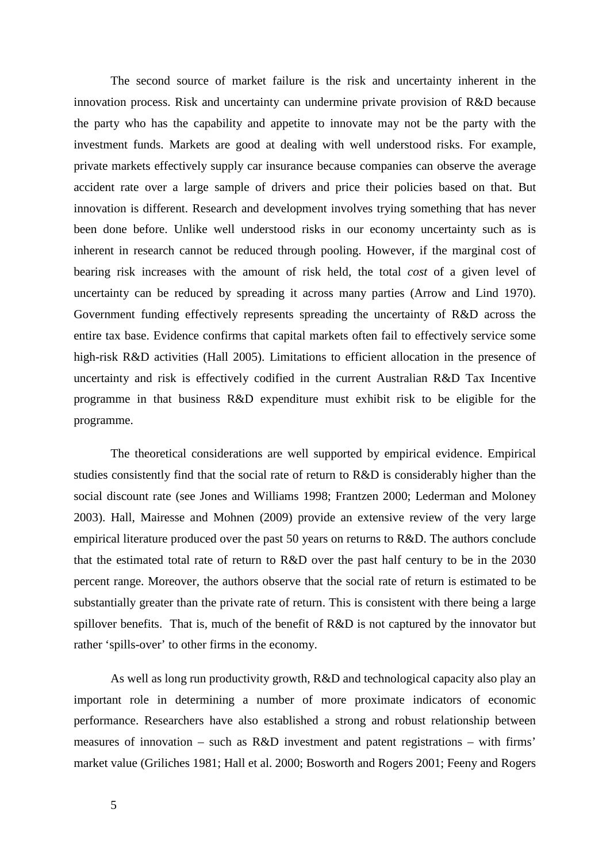The second source of market failure is the risk and uncertainty inherent in the innovation process. Risk and uncertainty can undermine private provision of R&D because the party who has the capability and appetite to innovate may not be the party with the investment funds. Markets are good at dealing with well understood risks. For example, private markets effectively supply car insurance because companies can observe the average accident rate over a large sample of drivers and price their policies based on that. But innovation is different. Research and development involves trying something that has never been done before. Unlike well understood risks in our economy uncertainty such as is inherent in research cannot be reduced through pooling. However, if the marginal cost of bearing risk increases with the amount of risk held, the total *cost* of a given level of uncertainty can be reduced by spreading it across many parties (Arrow and Lind 1970). Government funding effectively represents spreading the uncertainty of R&D across the entire tax base. Evidence confirms that capital markets often fail to effectively service some high-risk R&D activities (Hall 2005). Limitations to efficient allocation in the presence of uncertainty and risk is effectively codified in the current Australian R&D Tax Incentive programme in that business R&D expenditure must exhibit risk to be eligible for the programme.

The theoretical considerations are well supported by empirical evidence. Empirical studies consistently find that the social rate of return to R&D is considerably higher than the social discount rate (see Jones and Williams 1998; Frantzen 2000; Lederman and Moloney 2003). Hall, Mairesse and Mohnen (2009) provide an extensive review of the very large empirical literature produced over the past 50 years on returns to R&D. The authors conclude that the estimated total rate of return to R&D over the past half century to be in the 2030 percent range. Moreover, the authors observe that the social rate of return is estimated to be substantially greater than the private rate of return. This is consistent with there being a large spillover benefits. That is, much of the benefit of R&D is not captured by the innovator but rather 'spills-over' to other firms in the economy.

As well as long run productivity growth, R&D and technological capacity also play an important role in determining a number of more proximate indicators of economic performance. Researchers have also established a strong and robust relationship between measures of innovation – such as R&D investment and patent registrations – with firms' market value (Griliches 1981; Hall et al. 2000; Bosworth and Rogers 2001; Feeny and Rogers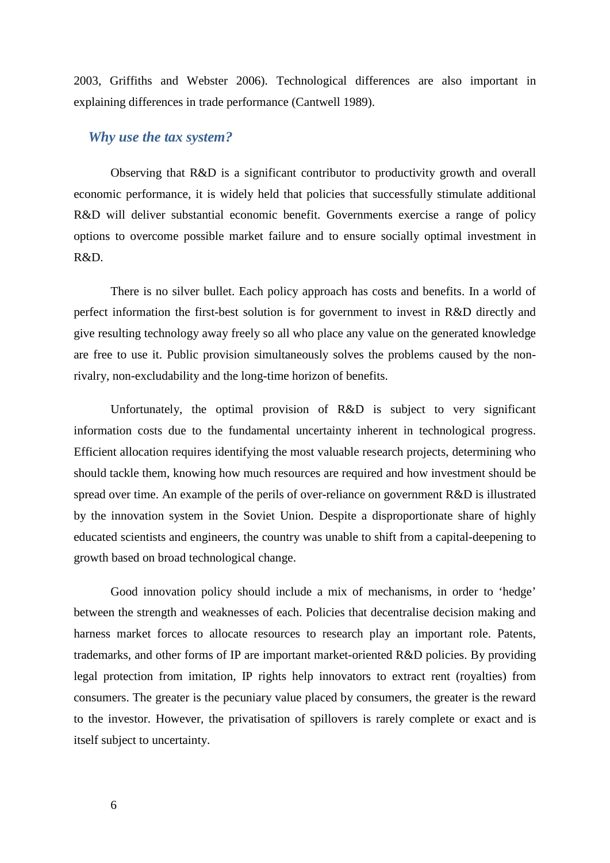2003, Griffiths and Webster 2006). Technological differences are also important in explaining differences in trade performance (Cantwell 1989).

#### *Why use the tax system?*

Observing that R&D is a significant contributor to productivity growth and overall economic performance, it is widely held that policies that successfully stimulate additional R&D will deliver substantial economic benefit. Governments exercise a range of policy options to overcome possible market failure and to ensure socially optimal investment in R&D.

There is no silver bullet. Each policy approach has costs and benefits. In a world of perfect information the first-best solution is for government to invest in R&D directly and give resulting technology away freely so all who place any value on the generated knowledge are free to use it. Public provision simultaneously solves the problems caused by the nonrivalry, non-excludability and the long-time horizon of benefits.

Unfortunately, the optimal provision of R&D is subject to very significant information costs due to the fundamental uncertainty inherent in technological progress. Efficient allocation requires identifying the most valuable research projects, determining who should tackle them, knowing how much resources are required and how investment should be spread over time. An example of the perils of over-reliance on government R&D is illustrated by the innovation system in the Soviet Union. Despite a disproportionate share of highly educated scientists and engineers, the country was unable to shift from a capital-deepening to growth based on broad technological change.

Good innovation policy should include a mix of mechanisms, in order to 'hedge' between the strength and weaknesses of each. Policies that decentralise decision making and harness market forces to allocate resources to research play an important role. Patents, trademarks, and other forms of IP are important market-oriented R&D policies. By providing legal protection from imitation, IP rights help innovators to extract rent (royalties) from consumers. The greater is the pecuniary value placed by consumers, the greater is the reward to the investor. However, the privatisation of spillovers is rarely complete or exact and is itself subject to uncertainty.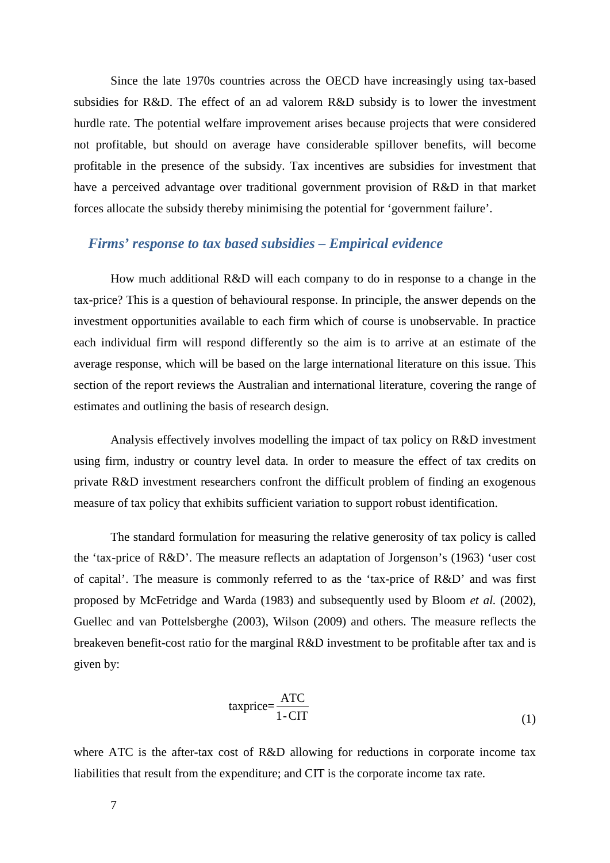Since the late 1970s countries across the OECD have increasingly using tax-based subsidies for R&D. The effect of an ad valorem R&D subsidy is to lower the investment hurdle rate. The potential welfare improvement arises because projects that were considered not profitable, but should on average have considerable spillover benefits, will become profitable in the presence of the subsidy. Tax incentives are subsidies for investment that have a perceived advantage over traditional government provision of R&D in that market forces allocate the subsidy thereby minimising the potential for 'government failure'.

# *Firms' response to tax based subsidies – Empirical evidence*

How much additional R&D will each company to do in response to a change in the tax-price? This is a question of behavioural response. In principle, the answer depends on the investment opportunities available to each firm which of course is unobservable. In practice each individual firm will respond differently so the aim is to arrive at an estimate of the average response, which will be based on the large international literature on this issue. This section of the report reviews the Australian and international literature, covering the range of estimates and outlining the basis of research design.

Analysis effectively involves modelling the impact of tax policy on R&D investment using firm, industry or country level data. In order to measure the effect of tax credits on private R&D investment researchers confront the difficult problem of finding an exogenous measure of tax policy that exhibits sufficient variation to support robust identification.

The standard formulation for measuring the relative generosity of tax policy is called the 'tax-price of R&D'. The measure reflects an adaptation of Jorgenson's (1963) 'user cost of capital'. The measure is commonly referred to as the 'tax-price of R&D' and was first proposed by McFetridge and Warda (1983) and subsequently used by Bloom *et al.* (2002), Guellec and van Pottelsberghe (2003), Wilson (2009) and others. The measure reflects the breakeven benefit-cost ratio for the marginal R&D investment to be profitable after tax and is given by:

$$
taxprice = \frac{ATC}{1 - CIT}
$$
 (1)

where ATC is the after-tax cost of R&D allowing for reductions in corporate income tax liabilities that result from the expenditure; and CIT is the corporate income tax rate.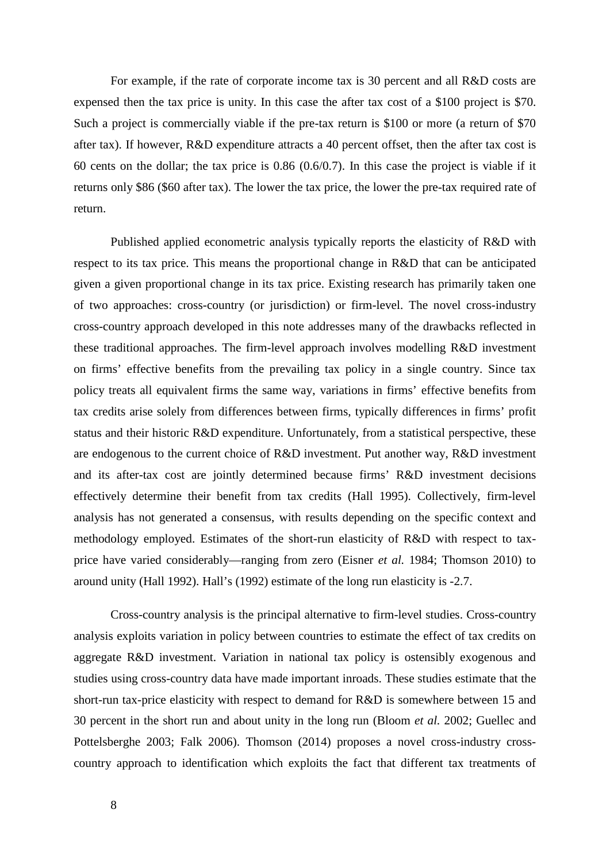For example, if the rate of corporate income tax is 30 percent and all R&D costs are expensed then the tax price is unity. In this case the after tax cost of a \$100 project is \$70. Such a project is commercially viable if the pre-tax return is \$100 or more (a return of \$70 after tax). If however, R&D expenditure attracts a 40 percent offset, then the after tax cost is 60 cents on the dollar; the tax price is 0.86 (0.6/0.7). In this case the project is viable if it returns only \$86 (\$60 after tax). The lower the tax price, the lower the pre-tax required rate of return.

Published applied econometric analysis typically reports the elasticity of R&D with respect to its tax price. This means the proportional change in R&D that can be anticipated given a given proportional change in its tax price. Existing research has primarily taken one of two approaches: cross-country (or jurisdiction) or firm-level. The novel cross-industry cross-country approach developed in this note addresses many of the drawbacks reflected in these traditional approaches. The firm-level approach involves modelling R&D investment on firms' effective benefits from the prevailing tax policy in a single country. Since tax policy treats all equivalent firms the same way, variations in firms' effective benefits from tax credits arise solely from differences between firms, typically differences in firms' profit status and their historic R&D expenditure. Unfortunately, from a statistical perspective, these are endogenous to the current choice of R&D investment. Put another way, R&D investment and its after-tax cost are jointly determined because firms' R&D investment decisions effectively determine their benefit from tax credits (Hall 1995). Collectively, firm-level analysis has not generated a consensus, with results depending on the specific context and methodology employed. Estimates of the short-run elasticity of R&D with respect to taxprice have varied considerably—ranging from zero (Eisner *et al.* 1984; Thomson 2010) to around unity (Hall 1992). Hall's (1992) estimate of the long run elasticity is -2.7.

Cross-country analysis is the principal alternative to firm-level studies. Cross-country analysis exploits variation in policy between countries to estimate the effect of tax credits on aggregate R&D investment. Variation in national tax policy is ostensibly exogenous and studies using cross-country data have made important inroads. These studies estimate that the short-run tax-price elasticity with respect to demand for R&D is somewhere between 15 and 30 percent in the short run and about unity in the long run (Bloom *et al.* 2002; Guellec and Pottelsberghe 2003; Falk 2006). Thomson (2014) proposes a novel cross-industry crosscountry approach to identification which exploits the fact that different tax treatments of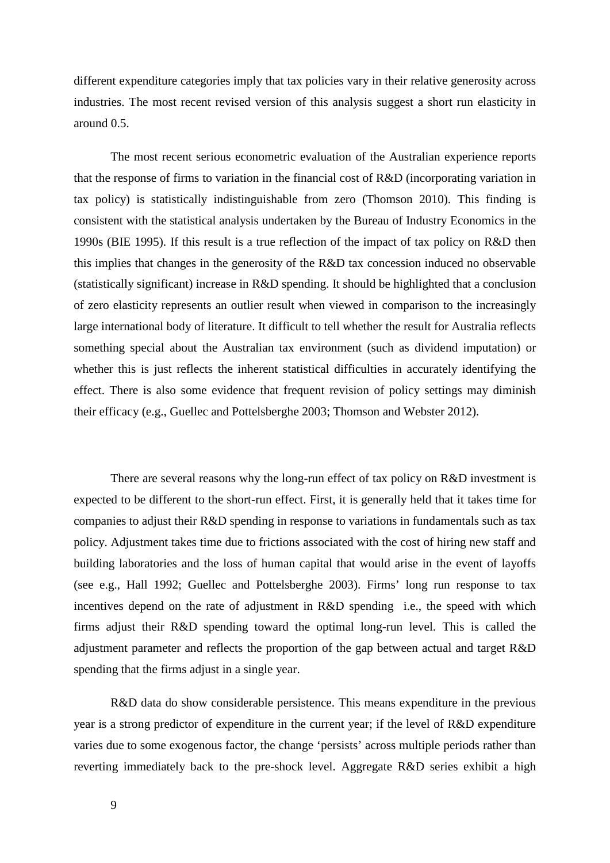different expenditure categories imply that tax policies vary in their relative generosity across industries. The most recent revised version of this analysis suggest a short run elasticity in around 0.5.

The most recent serious econometric evaluation of the Australian experience reports that the response of firms to variation in the financial cost of R&D (incorporating variation in tax policy) is statistically indistinguishable from zero (Thomson 2010). This finding is consistent with the statistical analysis undertaken by the Bureau of Industry Economics in the 1990s (BIE 1995). If this result is a true reflection of the impact of tax policy on R&D then this implies that changes in the generosity of the R&D tax concession induced no observable (statistically significant) increase in R&D spending. It should be highlighted that a conclusion of zero elasticity represents an outlier result when viewed in comparison to the increasingly large international body of literature. It difficult to tell whether the result for Australia reflects something special about the Australian tax environment (such as dividend imputation) or whether this is just reflects the inherent statistical difficulties in accurately identifying the effect. There is also some evidence that frequent revision of policy settings may diminish their efficacy (e.g., Guellec and Pottelsberghe 2003; Thomson and Webster 2012).

There are several reasons why the long-run effect of tax policy on R&D investment is expected to be different to the short-run effect. First, it is generally held that it takes time for companies to adjust their R&D spending in response to variations in fundamentals such as tax policy. Adjustment takes time due to frictions associated with the cost of hiring new staff and building laboratories and the loss of human capital that would arise in the event of layoffs (see e.g., Hall 1992; Guellec and Pottelsberghe 2003). Firms' long run response to tax incentives depend on the rate of adjustment in R&D spending i.e., the speed with which firms adjust their R&D spending toward the optimal long-run level. This is called the adjustment parameter and reflects the proportion of the gap between actual and target R&D spending that the firms adjust in a single year.

R&D data do show considerable persistence. This means expenditure in the previous year is a strong predictor of expenditure in the current year; if the level of R&D expenditure varies due to some exogenous factor, the change 'persists' across multiple periods rather than reverting immediately back to the pre-shock level. Aggregate R&D series exhibit a high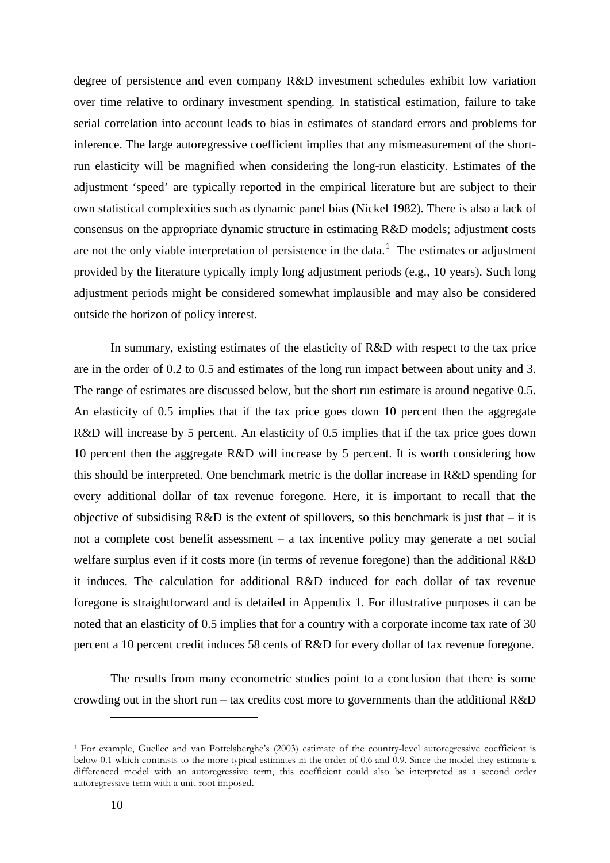degree of persistence and even company R&D investment schedules exhibit low variation over time relative to ordinary investment spending. In statistical estimation, failure to take serial correlation into account leads to bias in estimates of standard errors and problems for inference. The large autoregressive coefficient implies that any mismeasurement of the shortrun elasticity will be magnified when considering the long-run elasticity. Estimates of the adjustment 'speed' are typically reported in the empirical literature but are subject to their own statistical complexities such as dynamic panel bias (Nickel 1982). There is also a lack of consensus on the appropriate dynamic structure in estimating R&D models; adjustment costs are not the only viable interpretation of persistence in the data.<sup>[1](#page-9-0)</sup> The estimates or adjustment provided by the literature typically imply long adjustment periods (e.g., 10 years). Such long adjustment periods might be considered somewhat implausible and may also be considered outside the horizon of policy interest.

In summary, existing estimates of the elasticity of R&D with respect to the tax price are in the order of 0.2 to 0.5 and estimates of the long run impact between about unity and 3. The range of estimates are discussed below, but the short run estimate is around negative 0.5. An elasticity of 0.5 implies that if the tax price goes down 10 percent then the aggregate R&D will increase by 5 percent. An elasticity of 0.5 implies that if the tax price goes down 10 percent then the aggregate R&D will increase by 5 percent. It is worth considering how this should be interpreted. One benchmark metric is the dollar increase in R&D spending for every additional dollar of tax revenue foregone. Here, it is important to recall that the objective of subsidising  $R&D$  is the extent of spillovers, so this benchmark is just that – it is not a complete cost benefit assessment – a tax incentive policy may generate a net social welfare surplus even if it costs more (in terms of revenue foregone) than the additional R&D it induces. The calculation for additional R&D induced for each dollar of tax revenue foregone is straightforward and is detailed in Appendix 1. For illustrative purposes it can be noted that an elasticity of 0.5 implies that for a country with a corporate income tax rate of 30 percent a 10 percent credit induces 58 cents of R&D for every dollar of tax revenue foregone.

The results from many econometric studies point to a conclusion that there is some crowding out in the short run – tax credits cost more to governments than the additional R&D

-

<span id="page-9-0"></span><sup>1</sup> For example, Guellec and van Pottelsberghe's (2003) estimate of the country-level autoregressive coefficient is below 0.1 which contrasts to the more typical estimates in the order of 0.6 and 0.9. Since the model they estimate a differenced model with an autoregressive term, this coefficient could also be interpreted as a second order autoregressive term with a unit root imposed.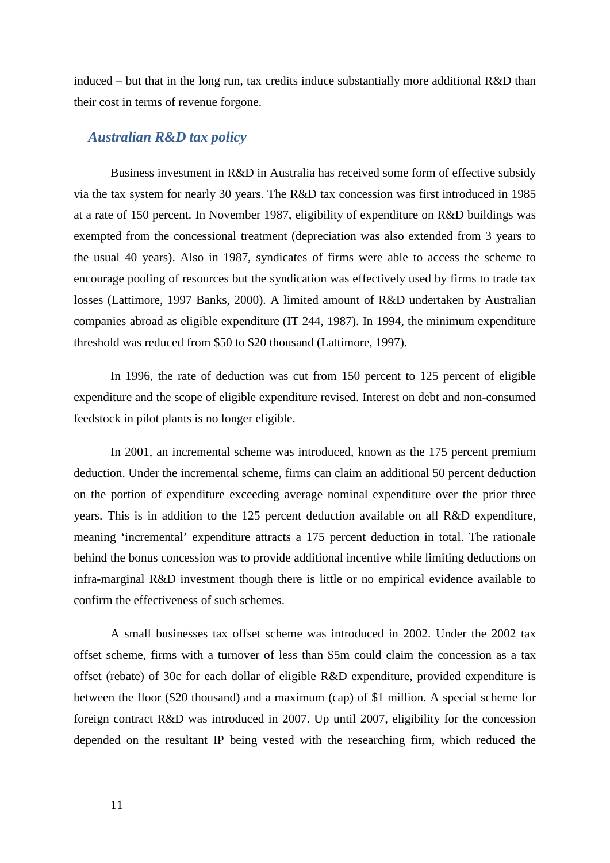induced – but that in the long run, tax credits induce substantially more additional  $R&D$  than their cost in terms of revenue forgone.

#### *Australian R&D tax policy*

Business investment in R&D in Australia has received some form of effective subsidy via the tax system for nearly 30 years. The R&D tax concession was first introduced in 1985 at a rate of 150 percent. In November 1987, eligibility of expenditure on R&D buildings was exempted from the concessional treatment (depreciation was also extended from 3 years to the usual 40 years). Also in 1987, syndicates of firms were able to access the scheme to encourage pooling of resources but the syndication was effectively used by firms to trade tax losses (Lattimore, 1997 Banks, 2000). A limited amount of R&D undertaken by Australian companies abroad as eligible expenditure (IT 244, 1987). In 1994, the minimum expenditure threshold was reduced from \$50 to \$20 thousand (Lattimore, 1997).

In 1996, the rate of deduction was cut from 150 percent to 125 percent of eligible expenditure and the scope of eligible expenditure revised. Interest on debt and non-consumed feedstock in pilot plants is no longer eligible.

In 2001, an incremental scheme was introduced, known as the 175 percent premium deduction. Under the incremental scheme, firms can claim an additional 50 percent deduction on the portion of expenditure exceeding average nominal expenditure over the prior three years. This is in addition to the 125 percent deduction available on all R&D expenditure, meaning 'incremental' expenditure attracts a 175 percent deduction in total. The rationale behind the bonus concession was to provide additional incentive while limiting deductions on infra-marginal R&D investment though there is little or no empirical evidence available to confirm the effectiveness of such schemes.

A small businesses tax offset scheme was introduced in 2002. Under the 2002 tax offset scheme, firms with a turnover of less than \$5m could claim the concession as a tax offset (rebate) of 30c for each dollar of eligible R&D expenditure, provided expenditure is between the floor (\$20 thousand) and a maximum (cap) of \$1 million. A special scheme for foreign contract R&D was introduced in 2007. Up until 2007, eligibility for the concession depended on the resultant IP being vested with the researching firm, which reduced the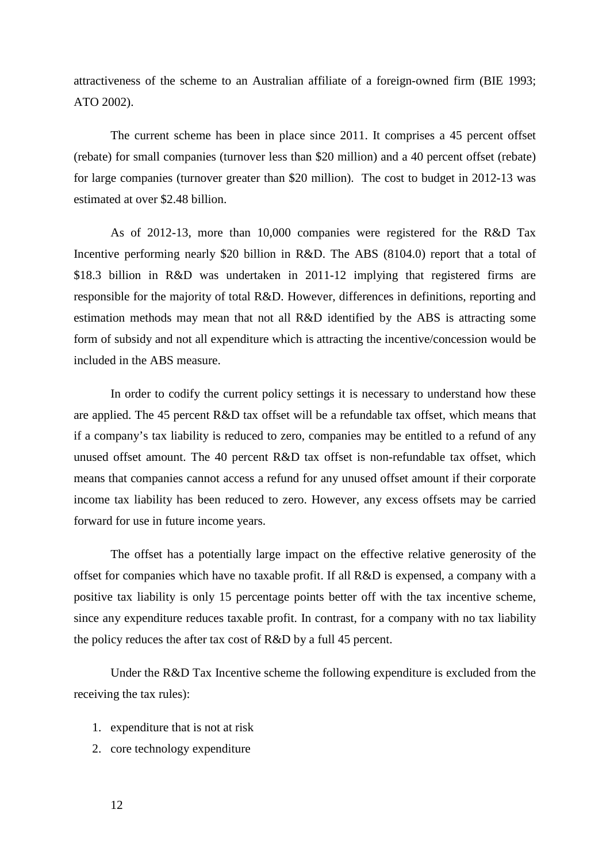attractiveness of the scheme to an Australian affiliate of a foreign-owned firm (BIE 1993; ATO 2002).

The current scheme has been in place since 2011. It comprises a 45 percent offset (rebate) for small companies (turnover less than \$20 million) and a 40 percent offset (rebate) for large companies (turnover greater than \$20 million). The cost to budget in 2012-13 was estimated at over \$2.48 billion.

As of 2012-13, more than 10,000 companies were registered for the R&D Tax Incentive performing nearly \$20 billion in R&D. The ABS (8104.0) report that a total of \$18.3 billion in R&D was undertaken in 2011-12 implying that registered firms are responsible for the majority of total R&D. However, differences in definitions, reporting and estimation methods may mean that not all R&D identified by the ABS is attracting some form of subsidy and not all expenditure which is attracting the incentive/concession would be included in the ABS measure.

In order to codify the current policy settings it is necessary to understand how these are applied. The 45 percent R&D tax offset will be a refundable tax offset, which means that if a company's tax liability is reduced to zero, companies may be entitled to a refund of any unused offset amount. The 40 percent R&D tax offset is non-refundable tax offset, which means that companies cannot access a refund for any unused offset amount if their corporate income tax liability has been reduced to zero. However, any excess offsets may be carried forward for use in future income years.

The offset has a potentially large impact on the effective relative generosity of the offset for companies which have no taxable profit. If all R&D is expensed, a company with a positive tax liability is only 15 percentage points better off with the tax incentive scheme, since any expenditure reduces taxable profit. In contrast, for a company with no tax liability the policy reduces the after tax cost of R&D by a full 45 percent.

Under the R&D Tax Incentive scheme the following expenditure is excluded from the receiving the tax rules):

- 1. expenditure that is not at risk
- 2. core technology expenditure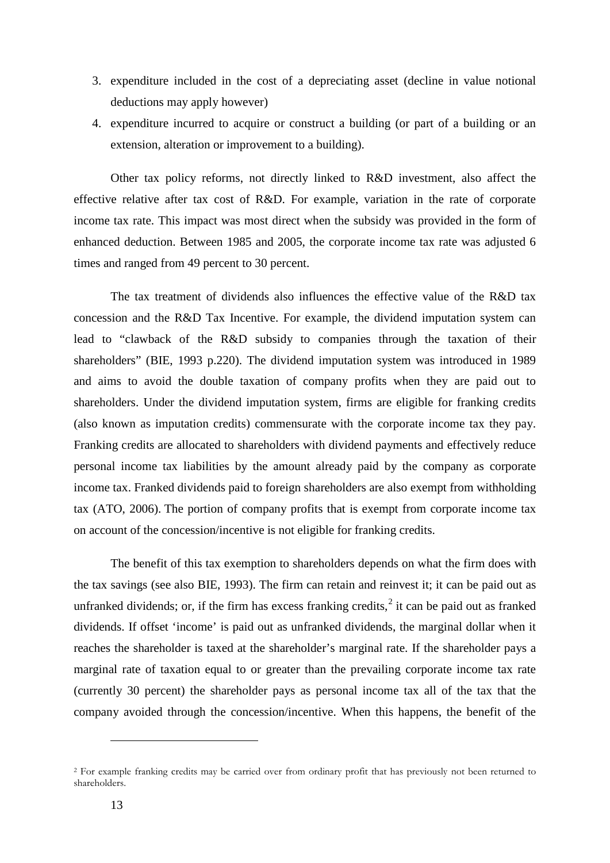- 3. expenditure included in the cost of a depreciating asset (decline in value notional deductions may apply however)
- 4. expenditure incurred to acquire or construct a building (or part of a building or an extension, alteration or improvement to a building).

Other tax policy reforms, not directly linked to R&D investment, also affect the effective relative after tax cost of R&D. For example, variation in the rate of corporate income tax rate. This impact was most direct when the subsidy was provided in the form of enhanced deduction. Between 1985 and 2005, the corporate income tax rate was adjusted 6 times and ranged from 49 percent to 30 percent.

The tax treatment of dividends also influences the effective value of the R&D tax concession and the R&D Tax Incentive. For example, the dividend imputation system can lead to "clawback of the R&D subsidy to companies through the taxation of their shareholders" (BIE, 1993 p.220). The dividend imputation system was introduced in 1989 and aims to avoid the double taxation of company profits when they are paid out to shareholders. Under the dividend imputation system, firms are eligible for franking credits (also known as imputation credits) commensurate with the corporate income tax they pay. Franking credits are allocated to shareholders with dividend payments and effectively reduce personal income tax liabilities by the amount already paid by the company as corporate income tax. Franked dividends paid to foreign shareholders are also exempt from withholding tax (ATO, 2006). The portion of company profits that is exempt from corporate income tax on account of the concession/incentive is not eligible for franking credits.

The benefit of this tax exemption to shareholders depends on what the firm does with the tax savings (see also BIE, 1993). The firm can retain and reinvest it; it can be paid out as unfranked dividends; or, if the firm has excess franking credits, $\frac{2}{3}$  $\frac{2}{3}$  $\frac{2}{3}$  it can be paid out as franked dividends. If offset 'income' is paid out as unfranked dividends, the marginal dollar when it reaches the shareholder is taxed at the shareholder's marginal rate. If the shareholder pays a marginal rate of taxation equal to or greater than the prevailing corporate income tax rate (currently 30 percent) the shareholder pays as personal income tax all of the tax that the company avoided through the concession/incentive. When this happens, the benefit of the

-

<span id="page-12-0"></span><sup>2</sup> For example franking credits may be carried over from ordinary profit that has previously not been returned to shareholders.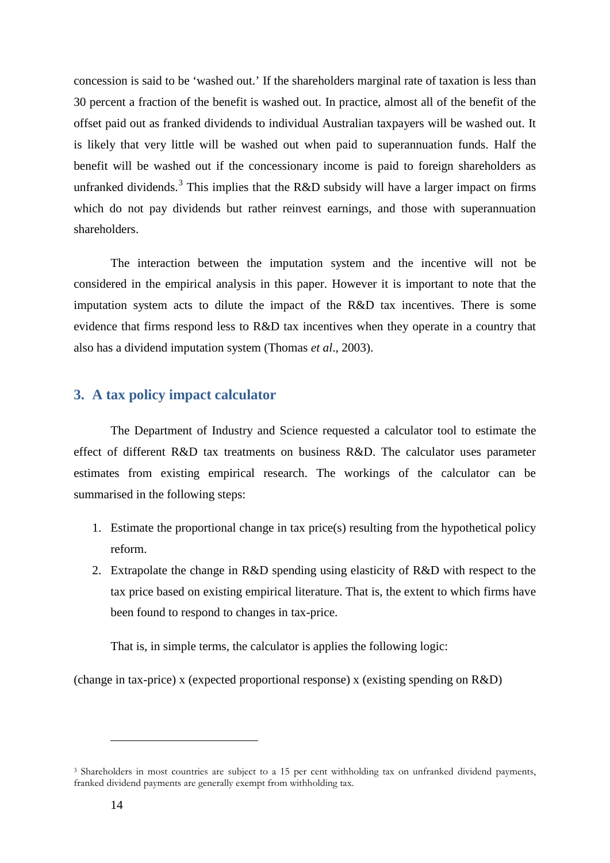concession is said to be 'washed out.' If the shareholders marginal rate of taxation is less than 30 percent a fraction of the benefit is washed out. In practice, almost all of the benefit of the offset paid out as franked dividends to individual Australian taxpayers will be washed out. It is likely that very little will be washed out when paid to superannuation funds. Half the benefit will be washed out if the concessionary income is paid to foreign shareholders as unfranked dividends.<sup>[3](#page-13-0)</sup> This implies that the R&D subsidy will have a larger impact on firms which do not pay dividends but rather reinvest earnings, and those with superannuation shareholders.

The interaction between the imputation system and the incentive will not be considered in the empirical analysis in this paper. However it is important to note that the imputation system acts to dilute the impact of the R&D tax incentives. There is some evidence that firms respond less to R&D tax incentives when they operate in a country that also has a dividend imputation system (Thomas *et al*., 2003).

## **3. A tax policy impact calculator**

The Department of Industry and Science requested a calculator tool to estimate the effect of different R&D tax treatments on business R&D. The calculator uses parameter estimates from existing empirical research. The workings of the calculator can be summarised in the following steps:

- 1. Estimate the proportional change in tax price(s) resulting from the hypothetical policy reform.
- 2. Extrapolate the change in R&D spending using elasticity of R&D with respect to the tax price based on existing empirical literature. That is, the extent to which firms have been found to respond to changes in tax-price.

That is, in simple terms, the calculator is applies the following logic:

(change in tax-price) x (expected proportional response) x (existing spending on R&D)

-

<span id="page-13-0"></span><sup>3</sup> Shareholders in most countries are subject to a 15 per cent withholding tax on unfranked dividend payments, franked dividend payments are generally exempt from withholding tax.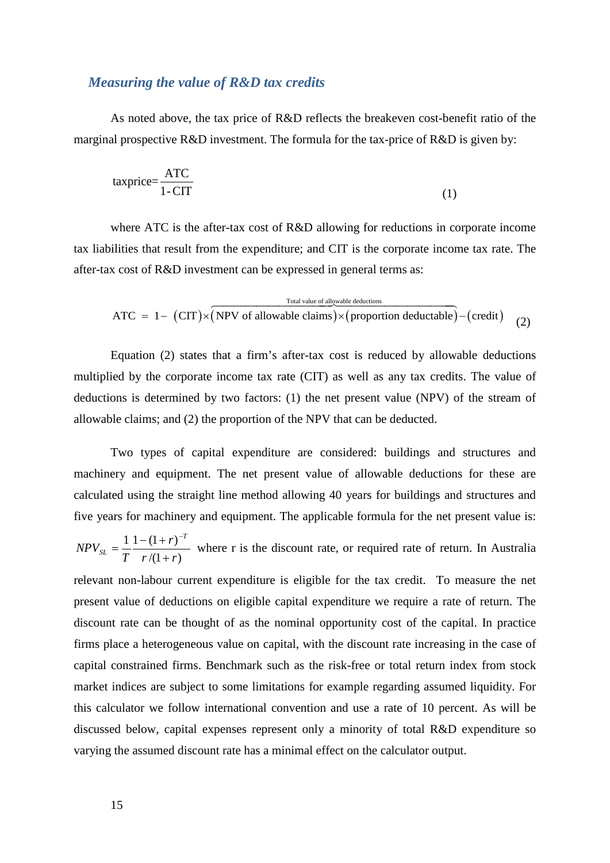#### *Measuring the value of R&D tax credits*

As noted above, the tax price of R&D reflects the breakeven cost-benefit ratio of the marginal prospective R&D investment. The formula for the tax-price of R&D is given by:

$$
taxprice = \frac{ATC}{1 - CIT}
$$
 (1)

where ATC is the after-tax cost of R&D allowing for reductions in corporate income tax liabilities that result from the expenditure; and CIT is the corporate income tax rate. The after-tax cost of R&D investment can be expressed in general terms as:

Total value of allowable deductions  
ATC = 1- (CIT)
$$
\times
$$
 (NPV of allowable claims) $\times$  (proportion deductable) – (credit) (2)

Equation (2) states that a firm's after-tax cost is reduced by allowable deductions multiplied by the corporate income tax rate (CIT) as well as any tax credits. The value of deductions is determined by two factors: (1) the net present value (NPV) of the stream of allowable claims; and (2) the proportion of the NPV that can be deducted.

Two types of capital expenditure are considered: buildings and structures and machinery and equipment. The net present value of allowable deductions for these are calculated using the straight line method allowing 40 years for buildings and structures and five years for machinery and equipment. The applicable formula for the net present value is: *T*

 $/(1 + r)$  $1 - (1 + r)$  $r/(1+r)$ *r T NPV*  $S_L$  –  $T$  *r* /(1+  $=\frac{1}{2} \frac{1-(1+r)^{-1}}{2}$ where r is the discount rate, or required rate of return. In Australia

relevant non-labour current expenditure is eligible for the tax credit. To measure the net present value of deductions on eligible capital expenditure we require a rate of return. The discount rate can be thought of as the nominal opportunity cost of the capital. In practice firms place a heterogeneous value on capital, with the discount rate increasing in the case of capital constrained firms. Benchmark such as the risk-free or total return index from stock market indices are subject to some limitations for example regarding assumed liquidity. For this calculator we follow international convention and use a rate of 10 percent. As will be discussed below, capital expenses represent only a minority of total R&D expenditure so varying the assumed discount rate has a minimal effect on the calculator output.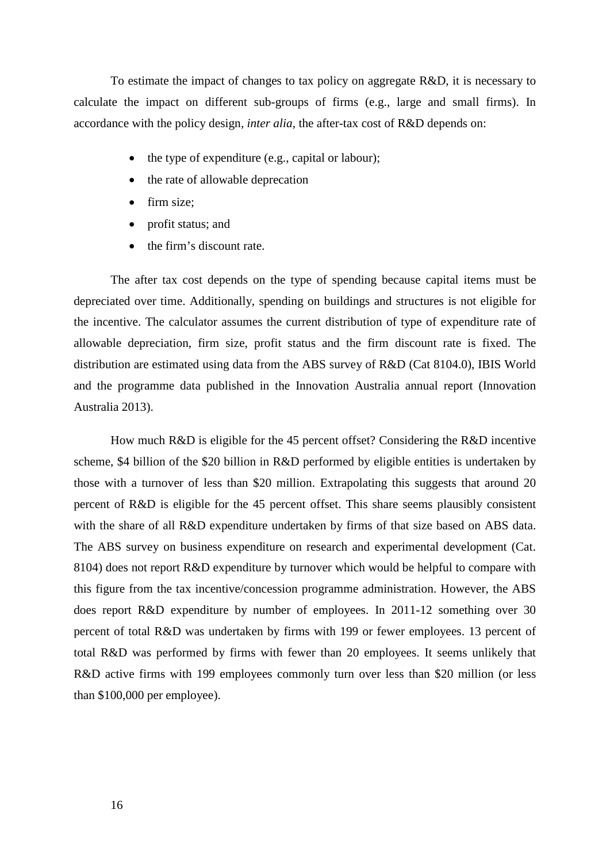To estimate the impact of changes to tax policy on aggregate R&D, it is necessary to calculate the impact on different sub-groups of firms (e.g., large and small firms). In accordance with the policy design, *inter alia*, the after-tax cost of R&D depends on:

- the type of expenditure (e.g., capital or labour);
- the rate of allowable deprecation
- firm size;
- profit status; and
- the firm's discount rate.

The after tax cost depends on the type of spending because capital items must be depreciated over time. Additionally, spending on buildings and structures is not eligible for the incentive. The calculator assumes the current distribution of type of expenditure rate of allowable depreciation, firm size, profit status and the firm discount rate is fixed. The distribution are estimated using data from the ABS survey of R&D (Cat 8104.0), IBIS World and the programme data published in the Innovation Australia annual report (Innovation Australia 2013).

How much R&D is eligible for the 45 percent offset? Considering the R&D incentive scheme, \$4 billion of the \$20 billion in R&D performed by eligible entities is undertaken by those with a turnover of less than \$20 million. Extrapolating this suggests that around 20 percent of R&D is eligible for the 45 percent offset. This share seems plausibly consistent with the share of all R&D expenditure undertaken by firms of that size based on ABS data. The ABS survey on business expenditure on research and experimental development (Cat. 8104) does not report R&D expenditure by turnover which would be helpful to compare with this figure from the tax incentive/concession programme administration. However, the ABS does report R&D expenditure by number of employees. In 2011-12 something over 30 percent of total R&D was undertaken by firms with 199 or fewer employees. 13 percent of total R&D was performed by firms with fewer than 20 employees. It seems unlikely that R&D active firms with 199 employees commonly turn over less than \$20 million (or less than \$100,000 per employee).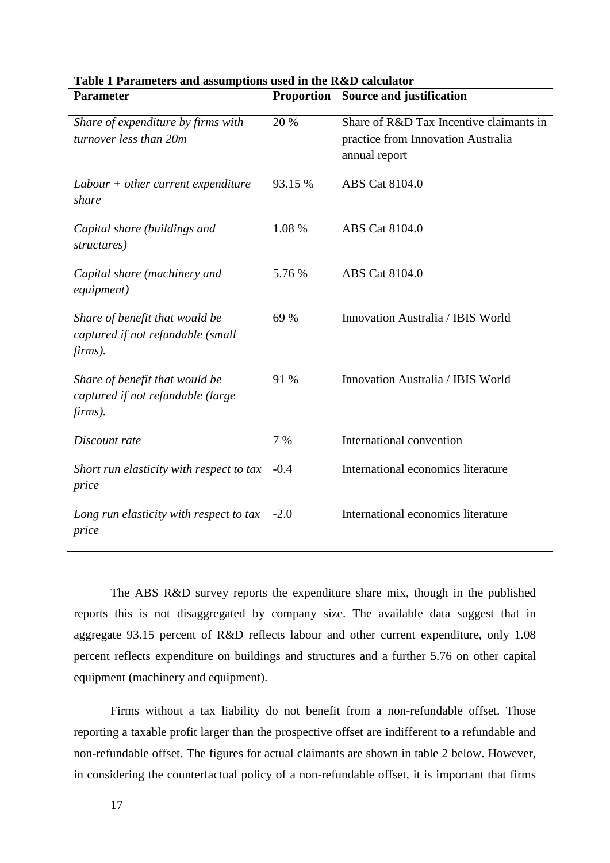| <b>Parameter</b>                                                               |         | <b>Proportion</b> Source and justification                                                     |  |
|--------------------------------------------------------------------------------|---------|------------------------------------------------------------------------------------------------|--|
| Share of expenditure by firms with<br>turnover less than 20m                   | 20 %    | Share of R&D Tax Incentive claimants in<br>practice from Innovation Australia<br>annual report |  |
| $Labour + other current expenditure$<br>share                                  | 93.15 % | ABS Cat 8104.0                                                                                 |  |
| Capital share (buildings and<br>structures)                                    | 1.08 %  | ABS Cat 8104.0                                                                                 |  |
| Capital share (machinery and<br>equipment)                                     | 5.76 %  | <b>ABS</b> Cat 8104.0                                                                          |  |
| Share of benefit that would be<br>captured if not refundable (small<br>firms). | 69 %    | Innovation Australia / IBIS World                                                              |  |
| Share of benefit that would be<br>captured if not refundable (large<br>firms). | 91 %    | Innovation Australia / IBIS World                                                              |  |
| Discount rate                                                                  | 7 %     | International convention                                                                       |  |
| Short run elasticity with respect to tax<br>price                              | $-0.4$  | International economics literature                                                             |  |
| Long run elasticity with respect to tax<br>price                               | $-2.0$  | International economics literature                                                             |  |

| Table 1 Parameters and assumptions used in the R&D calculator |                                                                                                                 |
|---------------------------------------------------------------|-----------------------------------------------------------------------------------------------------------------|
|                                                               | $\mathbf{D}_{\text{max}}$ and $\mathbf{D}_{\text{max}}$ $\mathbf{C}_{\text{max}}$ and $\mathbf{D}_{\text{max}}$ |

The ABS R&D survey reports the expenditure share mix, though in the published reports this is not disaggregated by company size. The available data suggest that in aggregate 93.15 percent of R&D reflects labour and other current expenditure, only 1.08 percent reflects expenditure on buildings and structures and a further 5.76 on other capital equipment (machinery and equipment).

Firms without a tax liability do not benefit from a non-refundable offset. Those reporting a taxable profit larger than the prospective offset are indifferent to a refundable and non-refundable offset. The figures for actual claimants are shown in table 2 below. However, in considering the counterfactual policy of a non-refundable offset, it is important that firms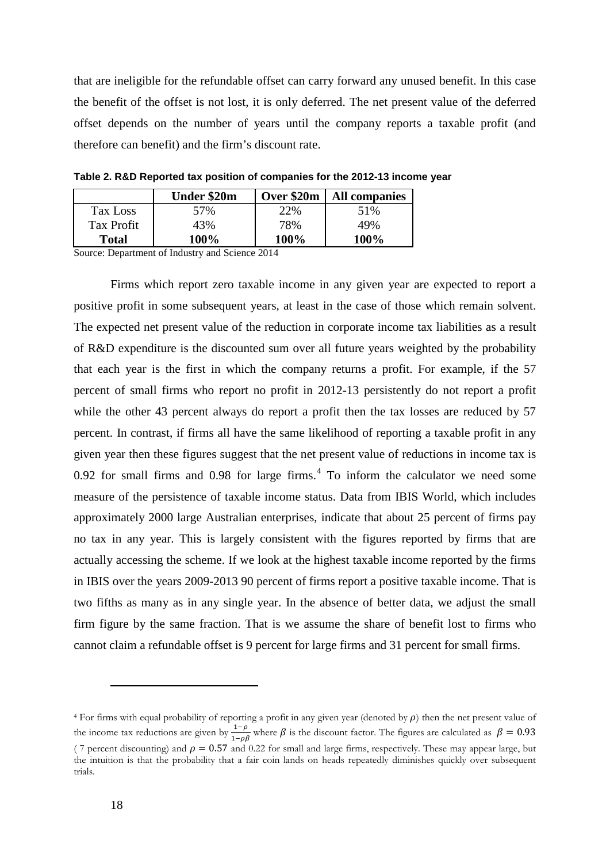that are ineligible for the refundable offset can carry forward any unused benefit. In this case the benefit of the offset is not lost, it is only deferred. The net present value of the deferred offset depends on the number of years until the company reports a taxable profit (and therefore can benefit) and the firm's discount rate.

Under \$20m **| Over \$20m | All companies** Tax Loss 57% 22% 51% Tax Profit  $\begin{array}{ccc} 43\% & 78\% \\ 49\% & \end{array}$ **Total 100% 100% 100%**

**Table 2. R&D Reported tax position of companies for the 2012-13 income year**

Source: Department of Industry and Science 2014

Firms which report zero taxable income in any given year are expected to report a positive profit in some subsequent years, at least in the case of those which remain solvent. The expected net present value of the reduction in corporate income tax liabilities as a result of R&D expenditure is the discounted sum over all future years weighted by the probability that each year is the first in which the company returns a profit. For example, if the 57 percent of small firms who report no profit in 2012-13 persistently do not report a profit while the other 43 percent always do report a profit then the tax losses are reduced by 57 percent. In contrast, if firms all have the same likelihood of reporting a taxable profit in any given year then these figures suggest that the net present value of reductions in income tax is  $0.92$  for small firms and  $0.98$  for large firms.<sup>[4](#page-17-0)</sup> To inform the calculator we need some measure of the persistence of taxable income status. Data from IBIS World, which includes approximately 2000 large Australian enterprises, indicate that about 25 percent of firms pay no tax in any year. This is largely consistent with the figures reported by firms that are actually accessing the scheme. If we look at the highest taxable income reported by the firms in IBIS over the years 2009-2013 90 percent of firms report a positive taxable income. That is two fifths as many as in any single year. In the absence of better data, we adjust the small firm figure by the same fraction. That is we assume the share of benefit lost to firms who cannot claim a refundable offset is 9 percent for large firms and 31 percent for small firms.

<u>.</u>

<span id="page-17-0"></span> $4$  For firms with equal probability of reporting a profit in any given year (denoted by  $\rho$ ) then the net present value of the income tax reductions are given by  $\frac{1-\rho}{1-\rho\beta}$  where  $\beta$  is the discount factor. The figures are calculated as  $\beta = 0.93$ ( 7 percent discounting) and  $\rho = 0.57$  and 0.22 for small and large firms, respectively. These may appear large, but the intuition is that the probability that a fair coin lands on heads repeatedly diminishes quickly over subsequent trials.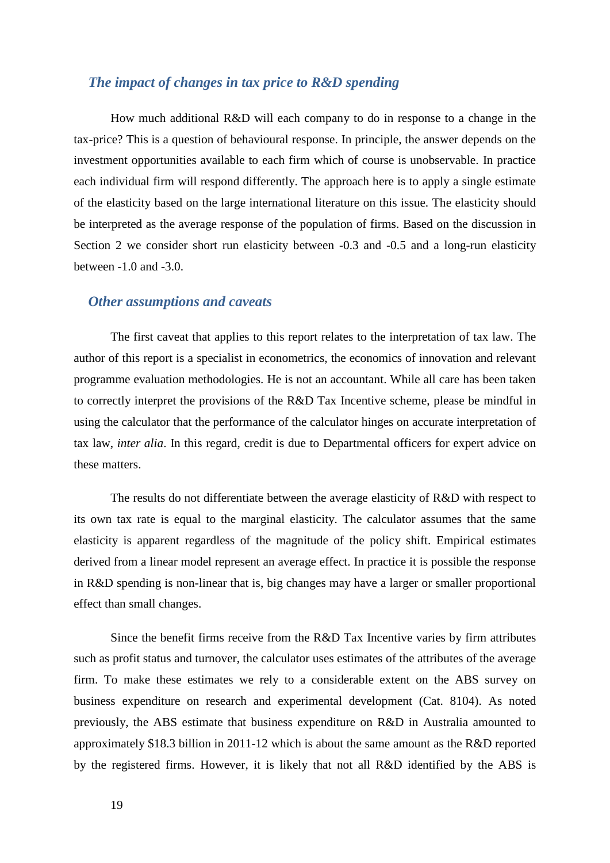#### *The impact of changes in tax price to R&D spending*

How much additional R&D will each company to do in response to a change in the tax-price? This is a question of behavioural response. In principle, the answer depends on the investment opportunities available to each firm which of course is unobservable. In practice each individual firm will respond differently. The approach here is to apply a single estimate of the elasticity based on the large international literature on this issue. The elasticity should be interpreted as the average response of the population of firms. Based on the discussion in Section 2 we consider short run elasticity between -0.3 and -0.5 and a long-run elasticity between -1.0 and -3.0.

#### *Other assumptions and caveats*

The first caveat that applies to this report relates to the interpretation of tax law. The author of this report is a specialist in econometrics, the economics of innovation and relevant programme evaluation methodologies. He is not an accountant. While all care has been taken to correctly interpret the provisions of the R&D Tax Incentive scheme, please be mindful in using the calculator that the performance of the calculator hinges on accurate interpretation of tax law, *inter alia*. In this regard, credit is due to Departmental officers for expert advice on these matters.

The results do not differentiate between the average elasticity of R&D with respect to its own tax rate is equal to the marginal elasticity. The calculator assumes that the same elasticity is apparent regardless of the magnitude of the policy shift. Empirical estimates derived from a linear model represent an average effect. In practice it is possible the response in R&D spending is non-linear that is, big changes may have a larger or smaller proportional effect than small changes.

Since the benefit firms receive from the R&D Tax Incentive varies by firm attributes such as profit status and turnover, the calculator uses estimates of the attributes of the average firm. To make these estimates we rely to a considerable extent on the ABS survey on business expenditure on research and experimental development (Cat. 8104). As noted previously, the ABS estimate that business expenditure on R&D in Australia amounted to approximately \$18.3 billion in 2011-12 which is about the same amount as the R&D reported by the registered firms. However, it is likely that not all R&D identified by the ABS is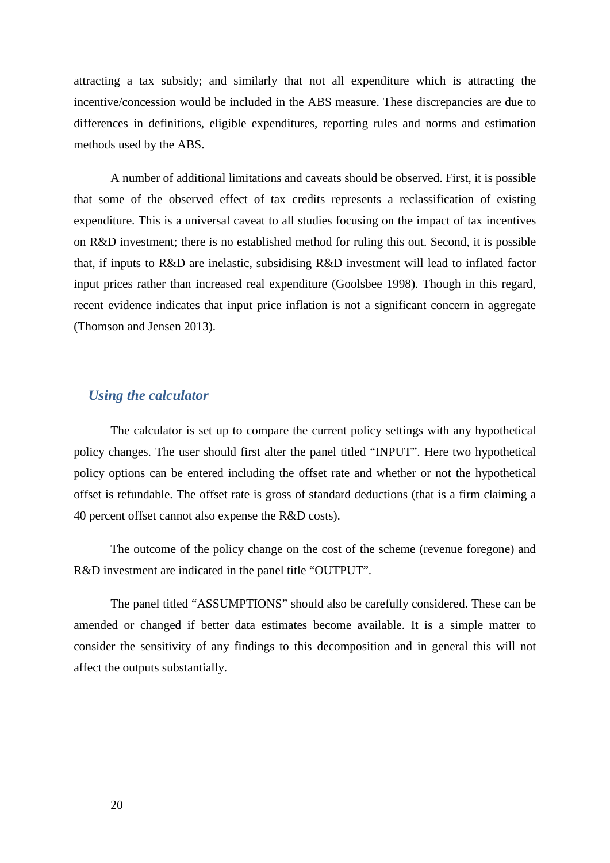attracting a tax subsidy; and similarly that not all expenditure which is attracting the incentive/concession would be included in the ABS measure. These discrepancies are due to differences in definitions, eligible expenditures, reporting rules and norms and estimation methods used by the ABS.

A number of additional limitations and caveats should be observed. First, it is possible that some of the observed effect of tax credits represents a reclassification of existing expenditure. This is a universal caveat to all studies focusing on the impact of tax incentives on R&D investment; there is no established method for ruling this out. Second, it is possible that, if inputs to R&D are inelastic, subsidising R&D investment will lead to inflated factor input prices rather than increased real expenditure (Goolsbee 1998). Though in this regard, recent evidence indicates that input price inflation is not a significant concern in aggregate (Thomson and Jensen 2013).

# *Using the calculator*

The calculator is set up to compare the current policy settings with any hypothetical policy changes. The user should first alter the panel titled "INPUT". Here two hypothetical policy options can be entered including the offset rate and whether or not the hypothetical offset is refundable. The offset rate is gross of standard deductions (that is a firm claiming a 40 percent offset cannot also expense the R&D costs).

The outcome of the policy change on the cost of the scheme (revenue foregone) and R&D investment are indicated in the panel title "OUTPUT".

The panel titled "ASSUMPTIONS" should also be carefully considered. These can be amended or changed if better data estimates become available. It is a simple matter to consider the sensitivity of any findings to this decomposition and in general this will not affect the outputs substantially.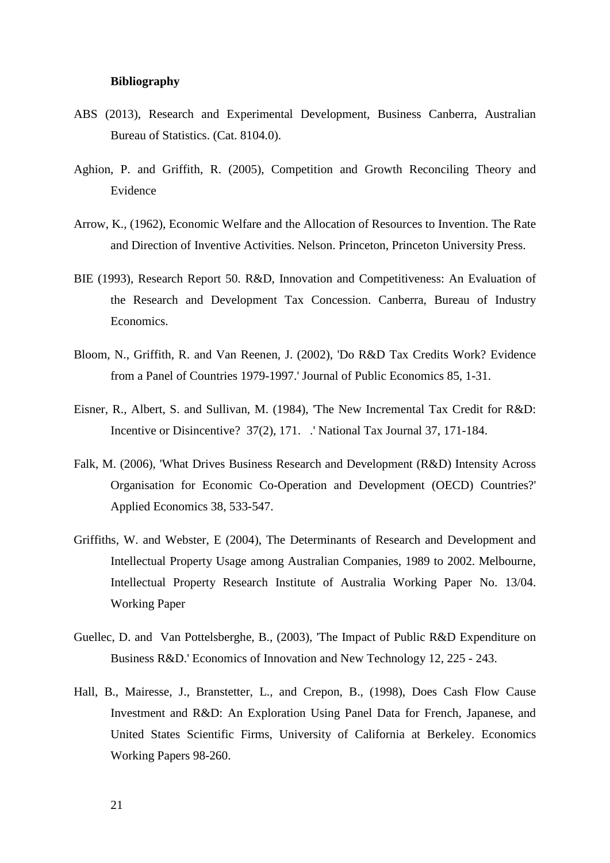#### **Bibliography**

- ABS (2013), Research and Experimental Development, Business Canberra, Australian Bureau of Statistics. (Cat. 8104.0).
- Aghion, P. and Griffith, R. (2005), Competition and Growth Reconciling Theory and Evidence
- Arrow, K., (1962), Economic Welfare and the Allocation of Resources to Invention. The Rate and Direction of Inventive Activities. Nelson. Princeton, Princeton University Press.
- BIE (1993), Research Report 50. R&D, Innovation and Competitiveness: An Evaluation of the Research and Development Tax Concession. Canberra, Bureau of Industry Economics.
- Bloom, N., Griffith, R. and Van Reenen, J. (2002), 'Do R&D Tax Credits Work? Evidence from a Panel of Countries 1979-1997.' Journal of Public Economics 85, 1-31.
- Eisner, R., Albert, S. and Sullivan, M. (1984), 'The New Incremental Tax Credit for R&D: Incentive or Disincentive? 37(2), 171. .' National Tax Journal 37, 171-184.
- Falk, M. (2006), 'What Drives Business Research and Development (R&D) Intensity Across Organisation for Economic Co-Operation and Development (OECD) Countries?' Applied Economics 38, 533-547.
- Griffiths, W. and Webster, E (2004), The Determinants of Research and Development and Intellectual Property Usage among Australian Companies, 1989 to 2002. Melbourne, Intellectual Property Research Institute of Australia Working Paper No. 13/04. Working Paper
- Guellec, D. and Van Pottelsberghe, B., (2003), 'The Impact of Public R&D Expenditure on Business R&D.' Economics of Innovation and New Technology 12, 225 - 243.
- Hall, B., Mairesse, J., Branstetter, L., and Crepon, B., (1998), Does Cash Flow Cause Investment and R&D: An Exploration Using Panel Data for French, Japanese, and United States Scientific Firms, University of California at Berkeley. Economics Working Papers 98-260.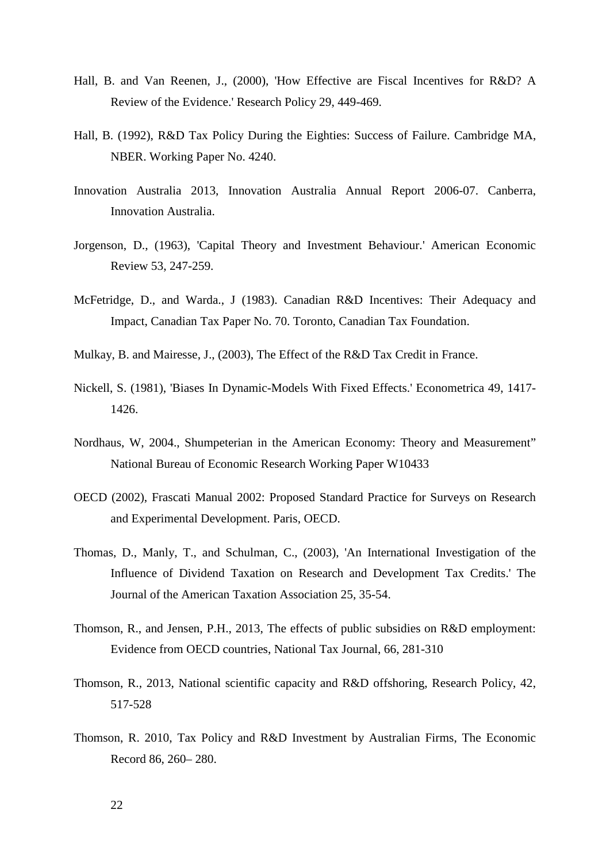- Hall, B. and Van Reenen, J., (2000), 'How Effective are Fiscal Incentives for R&D? A Review of the Evidence.' Research Policy 29, 449-469.
- Hall, B. (1992), R&D Tax Policy During the Eighties: Success of Failure. Cambridge MA, NBER. Working Paper No. 4240.
- Innovation Australia 2013, Innovation Australia Annual Report 2006-07. Canberra, Innovation Australia.
- Jorgenson, D., (1963), 'Capital Theory and Investment Behaviour.' American Economic Review 53, 247-259.
- McFetridge, D., and Warda., J (1983). Canadian R&D Incentives: Their Adequacy and Impact, Canadian Tax Paper No. 70. Toronto, Canadian Tax Foundation.
- Mulkay, B. and Mairesse, J., (2003), The Effect of the R&D Tax Credit in France.
- Nickell, S. (1981), 'Biases In Dynamic-Models With Fixed Effects.' Econometrica 49, 1417- 1426.
- Nordhaus, W, 2004., Shumpeterian in the American Economy: Theory and Measurement" National Bureau of Economic Research Working Paper W10433
- OECD (2002), Frascati Manual 2002: Proposed Standard Practice for Surveys on Research and Experimental Development. Paris, OECD.
- Thomas, D., Manly, T., and Schulman, C., (2003), 'An International Investigation of the Influence of Dividend Taxation on Research and Development Tax Credits.' The Journal of the American Taxation Association 25, 35-54.
- Thomson, R., and Jensen, P.H., 2013, The effects of public subsidies on R&D employment: Evidence from OECD countries, National Tax Journal, 66, 281-310
- Thomson, R., 2013, National scientific capacity and R&D offshoring, Research Policy, 42, 517-528
- Thomson, R. 2010, Tax Policy and R&D Investment by Australian Firms, The Economic Record 86, 260– 280.